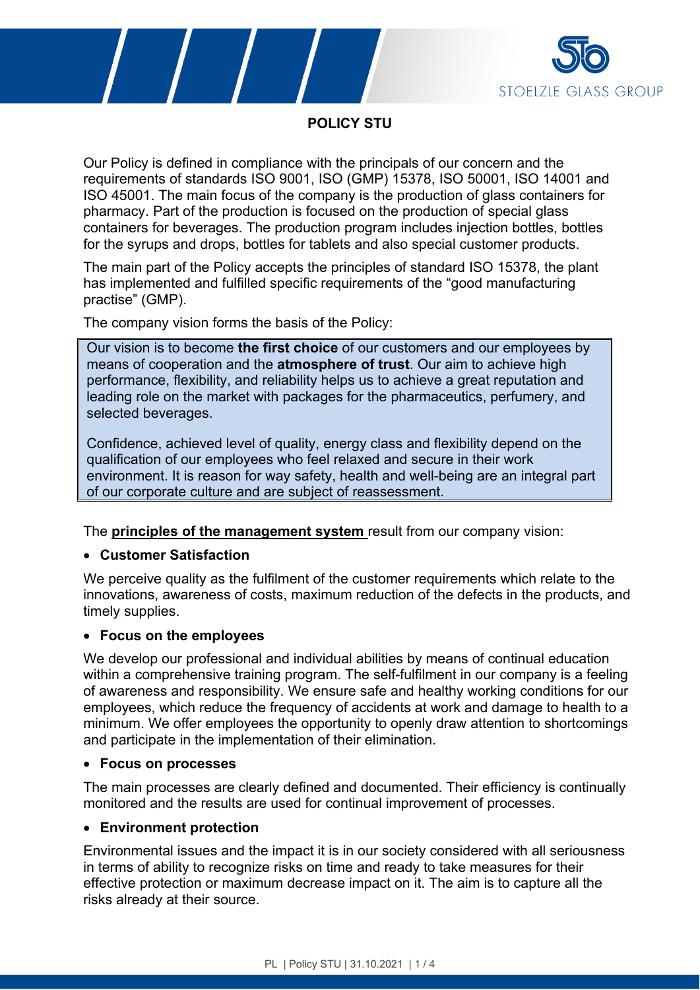



**POLICY STU**

Our Policy is defined in compliance with the principals of our concern and the requirements of standards ISO 9001, ISO (GMP) 15378, ISO 50001, ISO 14001 and ISO 45001. The main focus of the company is the production of glass containers for pharmacy. Part of the production is focused on the production of special glass containers for beverages. The production program includes injection bottles, bottles for the syrups and drops, bottles for tablets and also special customer products.

The main part of the Policy accepts the principles of standard ISO 15378, the plant has implemented and fulfilled specific requirements of the "good manufacturing practise" (GMP).

The company vision forms the basis of the Policy:

Our vision is to become **the first choice** of our customers and our employees by means of cooperation and the **atmosphere of trust**. Our aim to achieve high performance, flexibility, and reliability helps us to achieve a great reputation and leading role on the market with packages for the pharmaceutics, perfumery, and selected beverages.

Confidence, achieved level of quality, energy class and flexibility depend on the qualification of our employees who feel relaxed and secure in their work environment. It is reason for way safety, health and well-being are an integral part of our corporate culture and are subject of reassessment.

The **principles of the management system** result from our company vision:

# **Customer Satisfaction**

We perceive quality as the fulfilment of the customer requirements which relate to the innovations, awareness of costs, maximum reduction of the defects in the products, and timely supplies.

### **Focus on the employees**

We develop our professional and individual abilities by means of continual education within a comprehensive training program. The self-fulfilment in our company is a feeling of awareness and responsibility. We ensure safe and healthy working conditions for our employees, which reduce the frequency of accidents at work and damage to health to a minimum. We offer employees the opportunity to openly draw attention to shortcomings and participate in the implementation of their elimination.

### **Focus on processes**

The main processes are clearly defined and documented. Their efficiency is continually monitored and the results are used for continual improvement of processes.

# **Environment protection**

Environmental issues and the impact it is in our society considered with all seriousness in terms of ability to recognize risks on time and ready to take measures for their effective protection or maximum decrease impact on it. The aim is to capture all the risks already at their source.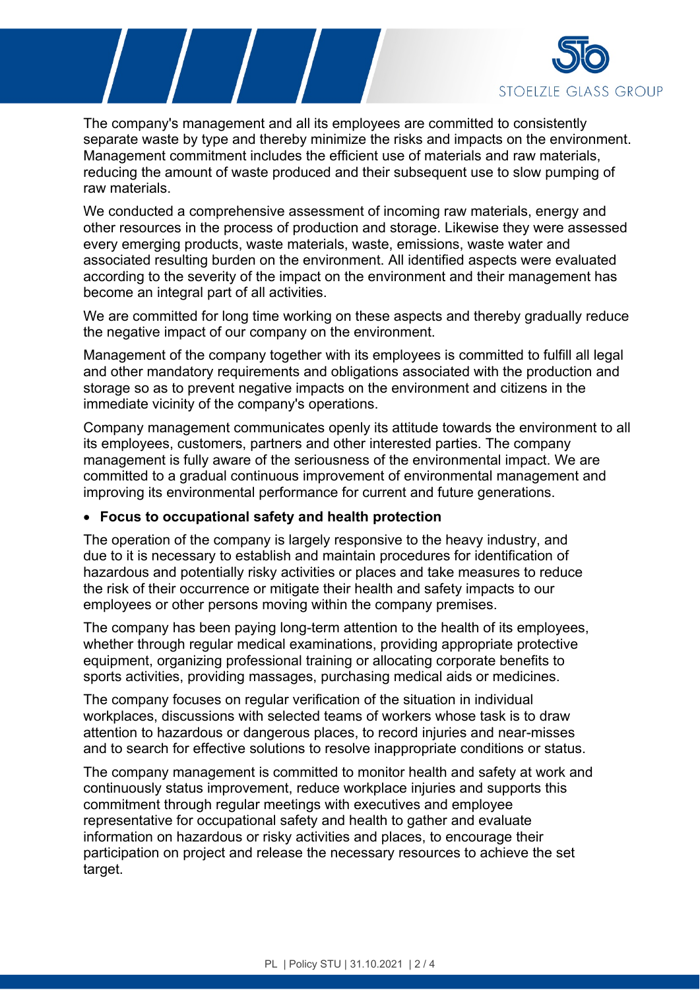

The company's management and all its employees are committed to consistently separate waste by type and thereby minimize the risks and impacts on the environment. Management commitment includes the efficient use of materials and raw materials, reducing the amount of waste produced and their subsequent use to slow pumping of raw materials.

We conducted a comprehensive assessment of incoming raw materials, energy and other resources in the process of production and storage. Likewise they were assessed every emerging products, waste materials, waste, emissions, waste water and associated resulting burden on the environment. All identified aspects were evaluated according to the severity of the impact on the environment and their management has become an integral part of all activities.

We are committed for long time working on these aspects and thereby gradually reduce the negative impact of our company on the environment.

Management of the company together with its employees is committed to fulfill all legal and other mandatory requirements and obligations associated with the production and storage so as to prevent negative impacts on the environment and citizens in the immediate vicinity of the company's operations.

Company management communicates openly its attitude towards the environment to all its employees, customers, partners and other interested parties. The company management is fully aware of the seriousness of the environmental impact. We are committed to a gradual continuous improvement of environmental management and improving its environmental performance for current and future generations.

### **Focus to occupational safety and health protection**

The operation of the company is largely responsive to the heavy industry, and due to it is necessary to establish and maintain procedures for identification of hazardous and potentially risky activities or places and take measures to reduce the risk of their occurrence or mitigate their health and safety impacts to our employees or other persons moving within the company premises.

The company has been paying long-term attention to the health of its employees, whether through regular medical examinations, providing appropriate protective equipment, organizing professional training or allocating corporate benefits to sports activities, providing massages, purchasing medical aids or medicines.

The company focuses on regular verification of the situation in individual workplaces, discussions with selected teams of workers whose task is to draw attention to hazardous or dangerous places, to record injuries and near-misses and to search for effective solutions to resolve inappropriate conditions or status.

The company management is committed to monitor health and safety at work and continuously status improvement, reduce workplace injuries and supports this commitment through regular meetings with executives and employee representative for occupational safety and health to gather and evaluate information on hazardous or risky activities and places, to encourage their participation on project and release the necessary resources to achieve the set target.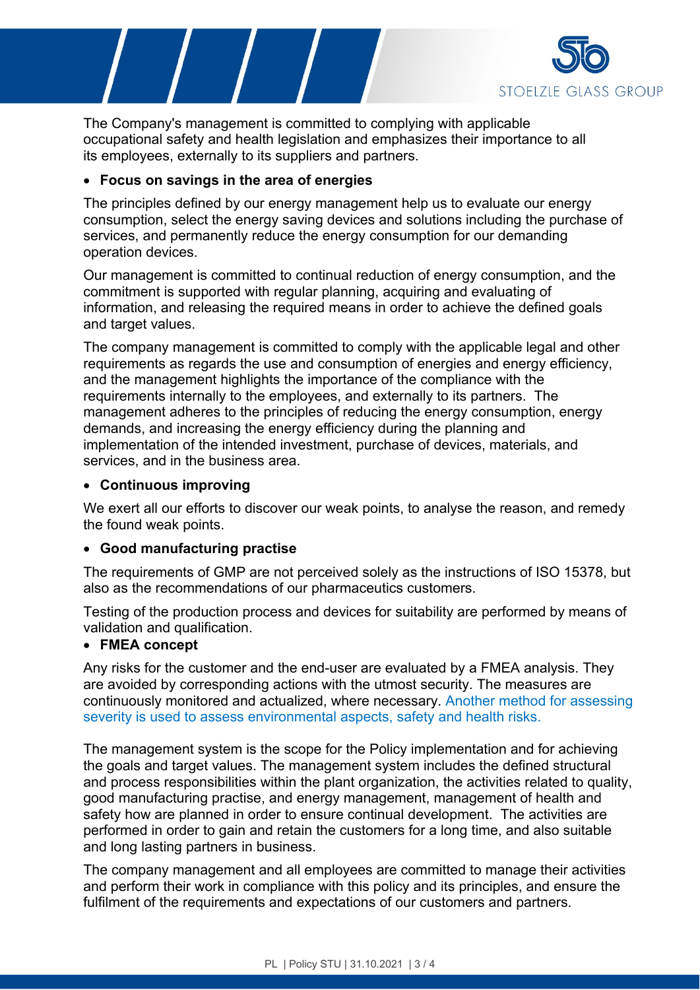

The Company's management is committed to complying with applicable occupational safety and health legislation and emphasizes their importance to all its employees, externally to its suppliers and partners.

### **Focus on savings in the area of energies**

The principles defined by our energy management help us to evaluate our energy consumption, select the energy saving devices and solutions including the purchase of services, and permanently reduce the energy consumption for our demanding operation devices.

Our management is committed to continual reduction of energy consumption, and the commitment is supported with regular planning, acquiring and evaluating of information, and releasing the required means in order to achieve the defined goals and target values.

The company management is committed to comply with the applicable legal and other requirements as regards the use and consumption of energies and energy efficiency, and the management highlights the importance of the compliance with the requirements internally to the employees, and externally to its partners. The management adheres to the principles of reducing the energy consumption, energy demands, and increasing the energy efficiency during the planning and implementation of the intended investment, purchase of devices, materials, and services, and in the business area.

### **Continuous improving**

We exert all our efforts to discover our weak points, to analyse the reason, and remedy the found weak points.

### **Good manufacturing practise**

The requirements of GMP are not perceived solely as the instructions of ISO 15378, but also as the recommendations of our pharmaceutics customers.

Testing of the production process and devices for suitability are performed by means of validation and qualification.

## **FMEA concept**

Any risks for the customer and the end-user are evaluated by a FMEA analysis. They are avoided by corresponding actions with the utmost security. The measures are continuously monitored and actualized, where necessary. Another method for assessing severity is used to assess environmental aspects, safety and health risks.

The management system is the scope for the Policy implementation and for achieving the goals and target values. The management system includes the defined structural and process responsibilities within the plant organization, the activities related to quality, good manufacturing practise, and energy management, management of health and safety how are planned in order to ensure continual development. The activities are performed in order to gain and retain the customers for a long time, and also suitable and long lasting partners in business.

The company management and all employees are committed to manage their activities and perform their work in compliance with this policy and its principles, and ensure the fulfilment of the requirements and expectations of our customers and partners.